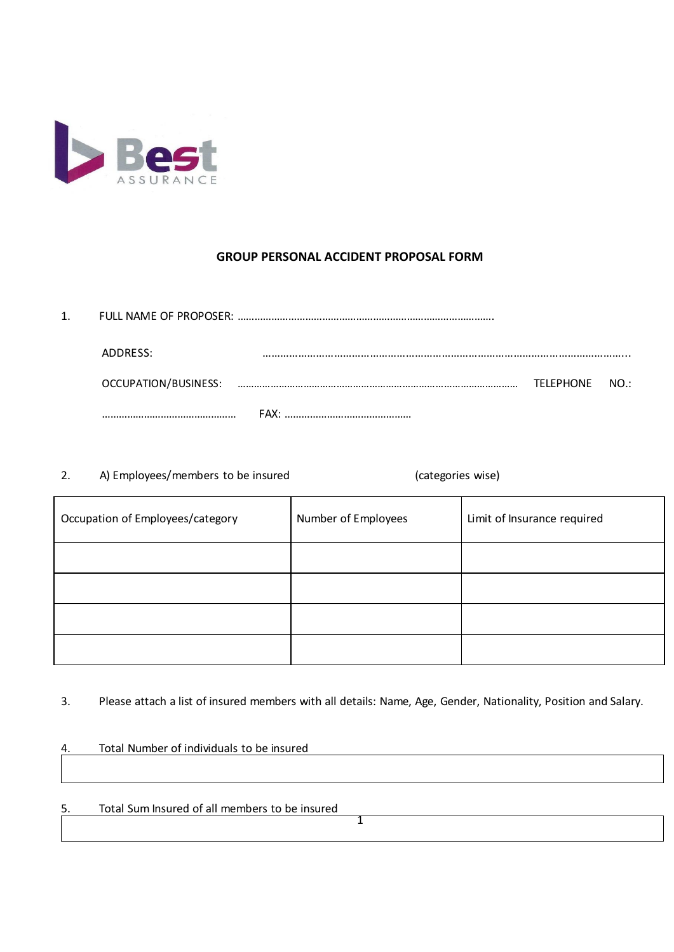

## **GROUP PERSONAL ACCIDENT PROPOSAL FORM**

| 1. |                      |  |               |  |  |  |
|----|----------------------|--|---------------|--|--|--|
|    | ADDRESS:             |  |               |  |  |  |
|    | OCCUPATION/BUSINESS: |  | TFIFPHONE NO: |  |  |  |
|    |                      |  |               |  |  |  |

2. A) Employees/members to be insured (categories wise)

| Occupation of Employees/category | Number of Employees | Limit of Insurance required |
|----------------------------------|---------------------|-----------------------------|
|                                  |                     |                             |
|                                  |                     |                             |
|                                  |                     |                             |
|                                  |                     |                             |

3. Please attach a list of insured members with all details: Name, Age, Gender, Nationality, Position and Salary.

4. Total Number of individuals to be insured

5. Total Sum Insured of all members to be insured